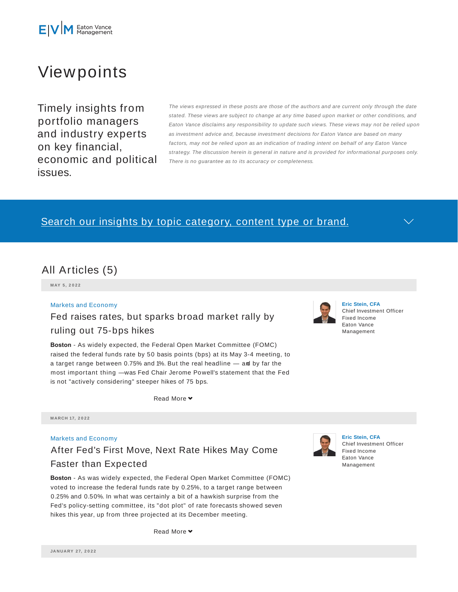# Viewpoints

Timely insights from portfolio managers and industry experts on key financial, economic and political issues.

The views expressed in these posts are those of the authors and are current only through the date stated. These views are subject to change at any time based upon market or other conditions, and Eaton Vance disclaims any responsibility to update such views. These views may not be relied upon as investment advice and, because investment decisions for Eaton Vance are based on many factors, may not be relied upon as an indication of trading intent on behalf of any Eaton Vance strategy. The discussion herein is general in nature and is provided for informational purposes only. There is no guarantee as to its accuracy or completeness.

### Search our insights by topic category, content type or brand.



**M AY 5 , 2 0 2 2**

#### Markets and Economy

### Fed raises rates, but sparks broad market rally by ruling out 75-bps hikes

**Boston** - As widely expected, the Federal Open Market Committee (FOMC) raised the federal funds rate by 50 basis points (bps) at its May 3-4 meeting, to

**Eric Stein, CFA** Chief Investment Officer Fixed Income Eaton Vance Management

a target range between 0.75% and 1%. But the real headline — and by far the most important thing — was Fed Chair Jerome Powell's statement that the Fed is not "actively considering" steeper hikes of 75 bps.

Read More **▼** 

**M ARCH 17, 2 0 2 2**

### Markets and Economy

## After Fed's First Move, Next Rate Hikes May Come Faster than Expected

**Boston** - As was widely expected, the Federal Open Market Committee (FOMC) voted to increase the federal funds rate by 0.25%, to a target range between 0.25% and 0.50%. In what was certainly a bit of a hawkish surprise from the Fed's policy-setting committee, its "dot plot" of rate forecasts showed seven hikes this year, up from three projected at its December meeting.



**Eric Stein, CFA** Chief Investment Officer Fixed Income Eaton Vance Management

Read More **▼**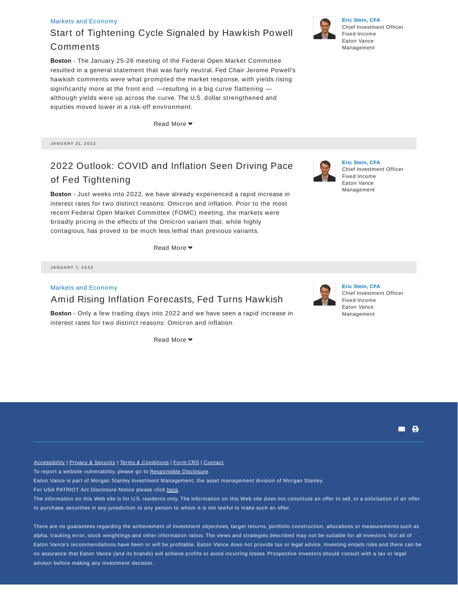#### Markets and Economy

### Start of Tightening Cycle Signaled by Hawkish Powell Comments

**Boston** - The January 25-26 meeting of the Federal Open Market Committee resulted in a general statement that was fairly neutral. Fed Chair Jerome Powell's hawkish comments were what prompted the market response, with yields rising significantly more at the front end — resulting in a big curve flattening although yields were up across the curve. The U.S. dollar strengthened and equities moved lower in a risk-off environment.

**Read More** 

**JA N UA RY 21, 2 0 2 2**

### 2022 Outlook: COVID and Inflation Seen Driving Pace of Fed Tightening

**Boston** - Just weeks into 2022, we have already experienced a rapid increase in interest rates for two distinct reasons: Omicron and inflation. Prior to the most recent Federal Open Market Committee (FOMC) meeting, the markets were broadly pricing in the effects of the Omicron variant that, while highly contagious, has proved to be much less lethal than previous variants.

Read More

**JA N UA RY 7, 2 0 2 2**

### Markets and Economy Amid Rising Inflation Forecasts, Fed Turns Hawkish

**Boston** - Only a few trading days into 2022 and we have seen a rapid increase in interest rates for two distinct reasons: Omicron and inflation.

Read More

Accessibility | Privacy & Security | Terms & Conditions | Form CRS | Contact

To report a website vulnerability, please go to Responsible Disclosure.

Eaton Vance is part of Morgan Stanley Investment Management, the asset management division of Morgan Stanley.

For USA PATRIOT Act Disclosure Notice please click here.

The information on this Web site is for U.S. residents only. The information on this Web site does not constitute an offer to sell, or a solicitation of an offer to purchase, securities in any jurisdiction to any person to whom it is not lawful to make such an offer.

There are no guarantees regarding the achievement of investment objectives, target returns, portfolio construction, allocations or measurements such as alpha, tracking error, stock weightings and other information ratios. The views and strategies described may not be suitable for all investors. Not all of Eaton Vance's recommendations have been or will be profitable. Eaton Vance does not provide tax or legal advice. Investing entails risks and there can be no assurance that Eaton Vance (and its brands) will achieve profits or avoid incurring losses. Prospective investors should consult with a tax or legal advisor before making any investment decision.



**Eric Stein, CFA** Chief Investment Officer Fixed Income Eaton Vance Management





# **Eric Stein, CFA**

Chief Investment Officer Fixed Income Eaton Vance Management





**Eric Stein, CFA** Chief Investment Officer Fixed Income Eaton Vance Management